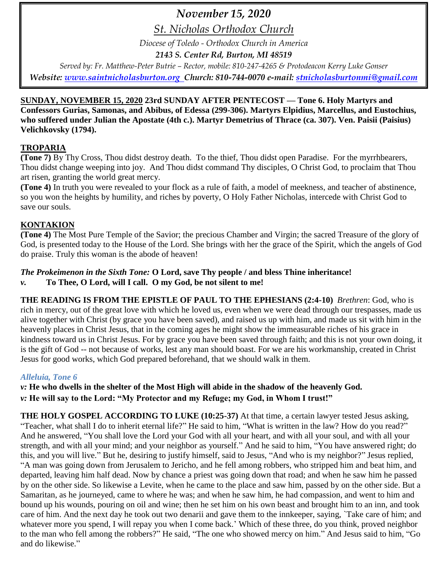# *November 15, 2020*

*St. Nicholas Orthodox Church*

*Diocese of Toledo - Orthodox Church in America*

*2143 S. Center Rd, Burton, MI 48519*

*Served by: Fr. Matthew-Peter Butrie – Rector, mobile: 810-247-4265 & Protodeacon Kerry Luke Gonser Website: [www.saintnicholasburton.org](http://www.saintnicholasburton.org/) Church: 810-744-0070 e-mail: [stnicholasburtonmi@gmail.com](mailto:stnicholasburtonmi@gmail.com)*

### **SUNDAY, NOVEMBER 15, 2020 23rd SUNDAY AFTER PENTECOST — Tone 6. Holy Martyrs and Confessors Gurias, Samonas, and Abibus, of Edessa (299-306). Martyrs Elpidius, Marcellus, and Eustochius, who suffered under Julian the Apostate (4th c.). Martyr Demetrius of Thrace (ca. 307). Ven. Paisii (Paisius) Velichkovsky (1794).**

### **TROPARIA**

**(Tone 7)** By Thy Cross, Thou didst destroy death. To the thief, Thou didst open Paradise. For the myrrhbearers, Thou didst change weeping into joy. And Thou didst command Thy disciples, O Christ God, to proclaim that Thou art risen, granting the world great mercy.

**(Tone 4)** In truth you were revealed to your flock as a rule of faith, a model of meekness, and teacher of abstinence, so you won the heights by humility, and riches by poverty, O Holy Father Nicholas, intercede with Christ God to save our souls.

### **KONTAKION**

**(Tone 4)** The Most Pure Temple of the Savior; the precious Chamber and Virgin; the sacred Treasure of the glory of God, is presented today to the House of the Lord. She brings with her the grace of the Spirit, which the angels of God do praise. Truly this woman is the abode of heaven!

### *The Prokeimenon in the Sixth Tone:* **O Lord, save Thy people / and bless Thine inheritance!**

*v.* **To Thee, O Lord, will I call. O my God, be not silent to me!**

**THE READING IS FROM THE EPISTLE OF PAUL TO THE EPHESIANS (2:4-10)** *Brethren*: God, who is rich in mercy, out of the great love with which he loved us, even when we were dead through our trespasses, made us alive together with Christ (by grace you have been saved), and raised us up with him, and made us sit with him in the heavenly places in Christ Jesus, that in the coming ages he might show the immeasurable riches of his grace in kindness toward us in Christ Jesus. For by grace you have been saved through faith; and this is not your own doing, it is the gift of God -- not because of works, lest any man should boast. For we are his workmanship, created in Christ Jesus for good works, which God prepared beforehand, that we should walk in them.

### *Alleluia, Tone 6*

*v:* **He who dwells in the shelter of the Most High will abide in the shadow of the heavenly God.** *v:* **He will say to the Lord: "My Protector and my Refuge; my God, in Whom I trust!"**

**THE HOLY GOSPEL ACCORDING TO LUKE (10:25-37)** At that time, a certain lawyer tested Jesus asking, "Teacher, what shall I do to inherit eternal life?" He said to him, "What is written in the law? How do you read?" And he answered, "You shall love the Lord your God with all your heart, and with all your soul, and with all your strength, and with all your mind; and your neighbor as yourself." And he said to him, "You have answered right; do this, and you will live." But he, desiring to justify himself, said to Jesus, "And who is my neighbor?" Jesus replied, "A man was going down from Jerusalem to Jericho, and he fell among robbers, who stripped him and beat him, and departed, leaving him half dead. Now by chance a priest was going down that road; and when he saw him he passed by on the other side. So likewise a Levite, when he came to the place and saw him, passed by on the other side. But a Samaritan, as he journeyed, came to where he was; and when he saw him, he had compassion, and went to him and bound up his wounds, pouring on oil and wine; then he set him on his own beast and brought him to an inn, and took care of him. And the next day he took out two denarii and gave them to the innkeeper, saying, `Take care of him; and whatever more you spend, I will repay you when I come back.' Which of these three, do you think, proved neighbor to the man who fell among the robbers?" He said, "The one who showed mercy on him." And Jesus said to him, "Go and do likewise."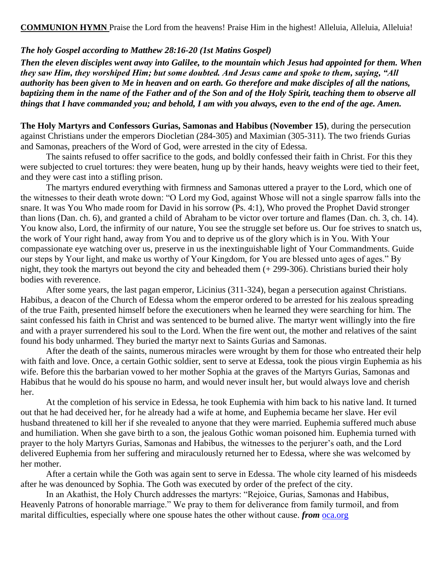#### *The holy Gospel according to Matthew 28:16-20 (1st Matins Gospel)*

*Then the eleven disciples went away into Galilee, to the mountain which Jesus had appointed for them. When they saw Him, they worshiped Him; but some doubted. And Jesus came and spoke to them, saying, "All authority has been given to Me in heaven and on earth. Go therefore and make disciples of all the nations, baptizing them in the name of the Father and of the Son and of the Holy Spirit, teaching them to observe all things that I have commanded you; and behold, I am with you always, even to the end of the age. Amen.*

**The Holy Martyrs and Confessors Gurias, Samonas and Habibus (November 15)**, during the persecution against Christians under the emperors Diocletian (284-305) and Maximian (305-311). The two friends Gurias and Samonas, preachers of the Word of God, were arrested in the city of Edessa.

The saints refused to offer sacrifice to the gods, and boldly confessed their faith in Christ. For this they were subjected to cruel tortures: they were beaten, hung up by their hands, heavy weights were tied to their feet, and they were cast into a stifling prison.

The martyrs endured everything with firmness and Samonas uttered a prayer to the Lord, which one of the witnesses to their death wrote down: "O Lord my God, against Whose will not a single sparrow falls into the snare. It was You Who made room for David in his sorrow (Ps. 4:1), Who proved the Prophet David stronger than lions (Dan. ch. 6), and granted a child of Abraham to be victor over torture and flames (Dan. ch. 3, ch. 14). You know also, Lord, the infirmity of our nature, You see the struggle set before us. Our foe strives to snatch us, the work of Your right hand, away from You and to deprive us of the glory which is in You. With Your compassionate eye watching over us, preserve in us the inextinguishable light of Your Commandments. Guide our steps by Your light, and make us worthy of Your Kingdom, for You are blessed unto ages of ages." By night, they took the martyrs out beyond the city and beheaded them (+ 299-306). Christians buried their holy bodies with reverence.

After some years, the last pagan emperor, Licinius (311-324), began a persecution against Christians. Habibus, a deacon of the Church of Edessa whom the emperor ordered to be arrested for his zealous spreading of the true Faith, presented himself before the executioners when he learned they were searching for him. The saint confessed his faith in Christ and was sentenced to be burned alive. The martyr went willingly into the fire and with a prayer surrendered his soul to the Lord. When the fire went out, the mother and relatives of the saint found his body unharmed. They buried the martyr next to Saints Gurias and Samonas.

After the death of the saints, numerous miracles were wrought by them for those who entreated their help with faith and love. Once, a certain Gothic soldier, sent to serve at Edessa, took the pious virgin Euphemia as his wife. Before this the barbarian vowed to her mother Sophia at the graves of the Martyrs Gurias, Samonas and Habibus that he would do his spouse no harm, and would never insult her, but would always love and cherish her.

At the completion of his service in Edessa, he took Euphemia with him back to his native land. It turned out that he had deceived her, for he already had a wife at home, and Euphemia became her slave. Her evil husband threatened to kill her if she revealed to anyone that they were married. Euphemia suffered much abuse and humiliation. When she gave birth to a son, the jealous Gothic woman poisoned him. Euphemia turned with prayer to the holy Martyrs Gurias, Samonas and Habibus, the witnesses to the perjurer's oath, and the Lord delivered Euphemia from her suffering and miraculously returned her to Edessa, where she was welcomed by her mother.

After a certain while the Goth was again sent to serve in Edessa. The whole city learned of his misdeeds after he was denounced by Sophia. The Goth was executed by order of the prefect of the city.

In an Akathist, the Holy Church addresses the martyrs: "Rejoice, Gurias, Samonas and Habibus, Heavenly Patrons of honorable marriage." We pray to them for deliverance from family turmoil, and from marital difficulties, especially where one spouse hates the other without cause. *from* [oca.org](https://www.oca.org/saints/lives/2020/11/15/103304-holy-martyrs-and-confessors-gurias-samonas-and-abibus-of-edessa)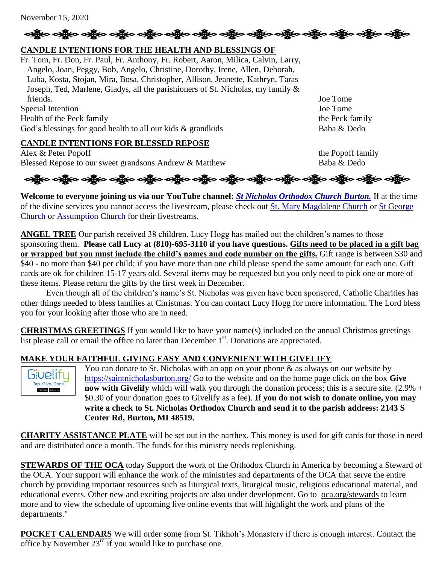November 15, 2020

# **CANDLE INTENTIONS FOR THE HEALTH AND BLESSINGS OF**

Fr. Tom, Fr. Don, Fr. Paul, Fr. Anthony, Fr. Robert, Aaron, Milica, Calvin, Larry, Angelo, Joan, Peggy, Bob, Angelo, Christine, Dorothy, Irene, Allen, Deborah, Luba, Kosta, Stojan, Mira, Bosa, Christopher, Allison, Jeanette, Kathryn, Taras Joseph, Ted, Marlene, Gladys, all the parishioners of St. Nicholas, my family & friends. Joe Tome

Special Intention Joe Tome Health of the Peck family the Peck family the Peck family God's blessings for good health to all our kids & grandkids Baba & Dedo

### **CANDLE INTENTIONS FOR BLESSED REPOSE**

Alex & Peter Popoff  $\omega$  the Popoff family Blessed Repose to our sweet grandsons Andrew & Matthew Baba & Dedo

န္း မွန္ပြား ခင္ဆိုင္ရာ ခင္ဆိုင္ရာ ခင္ဆိုင္ရာ ခင္ဆိုင္ရာ ခင္ဆိုင္ ခင္ဆိုင္ရာ ခင္ဆိုင္ရာ ခင္ဆိုင္ရာ ခင္ဆိုင္ ခင

ခရွို့က ခရွိက သန္တို့က ခရွိက သို့က သန္တို့က ခရွိက သန္တို့က သန္တို့က သန္တို့က သန္တို့က သန္တို့က သန္တို့က သန္တို

**Welcome to everyone joining us via our YouTube channel:** *[St Nicholas Orthodox Church Burton.](https://www.youtube.com/channel/UC59tV-Re443z-GCoETAUvfA)* If at the time of the divine services you cannot access the livestream, please check out [St. Mary Magdalene Church](https://www.youtube.com/channel/UClHAqZrWkXdYELujbbIslHg) or [St George](https://www.youtube.com/channel/UCpLWfxMIJK4uQOV41ekE6Wg/videos?view=2&flow=grid)  [Church](https://www.youtube.com/channel/UCpLWfxMIJK4uQOV41ekE6Wg/videos?view=2&flow=grid) or [Assumption Church](https://www.facebook.com/AssumptionGrandBlanc/) for their livestreams.

**ANGEL TREE** Our parish received 38 children. Lucy Hogg has mailed out the children's names to those sponsoring them. **Please call Lucy at (810)-695-3110 if you have questions. Gifts need to be placed in a gift bag or wrapped but you must include the child's names and code number on the gifts.** Gift range is between \$30 and \$40 - no more than \$40 per child; if you have more than one child please spend the same amount for each one. Gift cards are ok for children 15-17 years old. Several items may be requested but you only need to pick one or more of these items. Please return the gifts by the first week in December.

Even though all of the children's name's St. Nicholas was given have been sponsored, Catholic Charities has other things needed to bless families at Christmas. You can contact Lucy Hogg for more information. The Lord bless you for your looking after those who are in need.

**CHRISTMAS GREETINGS** If you would like to have your name(s) included on the annual Christmas greetings list please call or email the office no later than December  $1<sup>st</sup>$ . Donations are appreciated.

### **MAKE YOUR FAITHFUL GIVING EASY AND CONVENIENT WITH GIVELIFY**



You can donate to St. Nicholas with an app on your phone  $\&$  as always on our website by <https://saintnicholasburton.org/> Go to the website and on the home page click on the box **Give now with Givelify** which will walk you through the donation process; this is a secure site. (2.9% + \$0.30 of your donation goes to Givelify as a fee). **If you do not wish to donate online, you may write a check to St. Nicholas Orthodox Church and send it to the parish address: 2143 S Center Rd, Burton, MI 48519.**

**CHARITY ASSISTANCE PLATE** will be set out in the narthex. This money is used for gift cards for those in need and are distributed once a month. The funds for this ministry needs replenishing.

**STEWARDS OF THE OCA** today Support the work of the Orthodox Church in America by becoming a Steward of the OCA. Your support will enhance the work of the ministries and departments of the OCA that serve the entire church by providing important resources such as liturgical texts, liturgical music, religious educational material, and educational events. Other new and exciting projects are also under development. Go to [oca.org/stewards](https://bdoca.us19.list-manage.com/track/click?u=8637fd6ca03b533ebeb2815cf&id=c105c6fb6f&e=91ce1b243d) to learn more and to view the schedule of upcoming live online events that will highlight the work and plans of the departments."

**POCKET CALENDARS** We will order some from St. Tikhoh's Monastery if there is enough interest. Contact the office by November 23<sup>rd</sup> if you would like to purchase one.